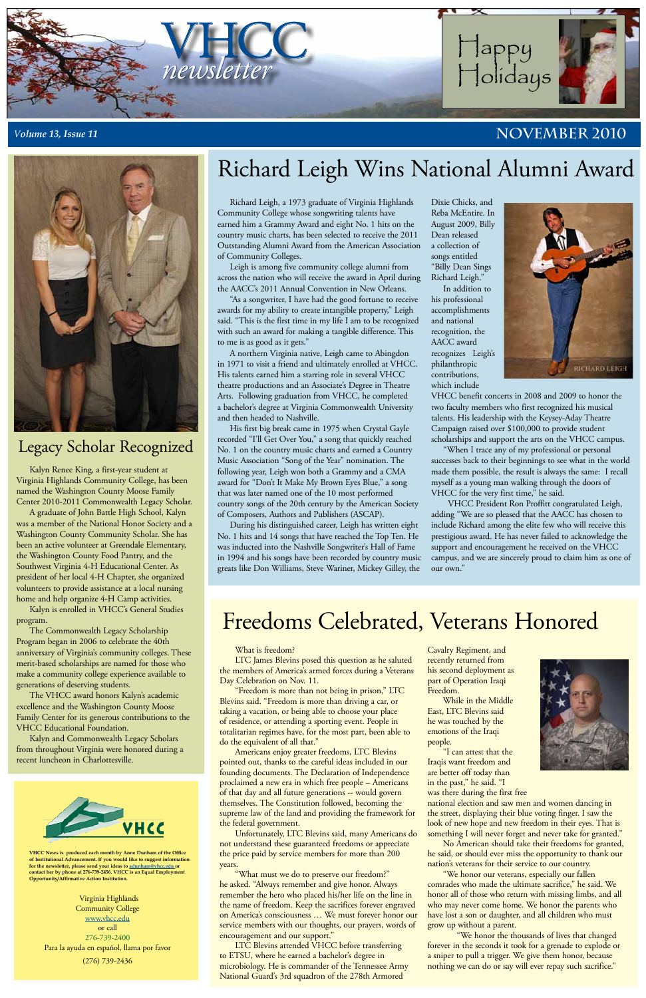#### What is freedom?

LTC James Blevins posed this question as he saluted the members of America's armed forces during a Veterans Day Celebration on Nov. 11.

"Freedom is more than not being in prison," LTC Blevins said. "Freedom is more than driving a car, or taking a vacation, or being able to choose your place of residence, or attending a sporting event. People in totalitarian regimes have, for the most part, been able to

do the equivalent of all that."

Americans enjoy greater freedoms, LTC Blevins pointed out, thanks to the careful ideas included in our founding documents. The Declaration of Independence proclaimed a new era in which free people – Americans of that day and all future generations -- would govern themselves. The Constitution followed, becoming the supreme law of the land and providing the framework for the federal government.

Unfortunately, LTC Blevins said, many Americans do not understand these guaranteed freedoms or appreciate the price paid by service members for more than 200 years.

"What must we do to preserve our freedom?" he asked. "Always remember and give honor. Always remember the hero who placed his/her life on the line in the name of freedom. Keep the sacrifices forever engraved on America's consciousness … We must forever honor our service members with our thoughts, our prayers, words of encouragement and our support."

LTC Blevins attended VHCC before transferring to ETSU, where he earned a bachelor's degree in microbiology. He is commander of the Tennessee Army National Guard's 3rd squadron of the 278th Armored

Cavalry Regiment, and recently returned from his second deployment as part of Operation Iraqi Freedom.

While in the Middle East, LTC Blevins said he was touched by the emotions of the Iraqi



people.

"I can attest that the Iraqis want freedom and are better off today than in the past," he said. "I was there during the first free

national election and saw men and women dancing in the street, displaying their blue voting finger. I saw the look of new hope and new freedom in their eyes. That is something I will never forget and never take for granted."

No American should take their freedoms for granted, he said, or should ever miss the opportunity to thank our nation's veterans for their service to our country.

"We honor our veterans, especially our fallen comrades who made the ultimate sacrifice," he said. We honor all of those who return with missing limbs, and all who may never come home. We honor the parents who have lost a son or daughter, and all children who must grow up without a parent.

"We honor the thousands of lives that changed forever in the seconds it took for a grenade to explode or a sniper to pull a trigger. We give them honor, because nothing we can do or say will ever repay such sacrifice."

**VHCC News is produced each month by Anne Dunham of the Office of Institutional Advancement. If you would like to suggest information for the newsletter, please send your ideas to [adunham@vhcc.edu or](mailto:adunham@vhcc.edu) contact her by phone at 276-739-2456. VHCC is an Equal Employment Opportunity/Affirmative Action Institution.**

Virginia Highlands Community College [www.vhcc.edu](http://www.vhcc.edu) or call 276-739-2400 Para la ayuda en español, llama por favor (276) 739-2436

Richard Leigh, a 1973 graduate of Virginia Highlands Community College whose songwriting talents have earned him a Grammy Award and eight No. 1 hits on the country music charts, has been selected to receive the 2011 Outstanding Alumni Award from the American Association of Community Colleges.

Leigh is among five community college alumni from across the nation who will receive the award in April during the AACC's 2011 Annual Convention in New Orleans.

"As a songwriter, I have had the good fortune to receive awards for my ability to create intangible property," Leigh said. "This is the first time in my life I am to be recognized with such an award for making a tangible difference. This to me is as good as it gets."

A northern Virginia native, Leigh came to Abingdon in 1971 to visit a friend and ultimately enrolled at VHCC. His talents earned him a starring role in several VHCC theatre productions and an Associate's Degree in Theatre Arts. Following graduation from VHCC, he completed a bachelor's degree at Virginia Commonwealth University and then headed to Nashville.

His first big break came in 1975 when Crystal Gayle recorded "I'll Get Over You," a song that quickly reached No. 1 on the country music charts and earned a Country Music Association "Song of the Year" nomination. The following year, Leigh won both a Grammy and a CMA award for "Don't It Make My Brown Eyes Blue," a song that was later named one of the 10 most performed country songs of the 20th century by the American Society of Composers, Authors and Publishers (ASCAP).

During his distinguished career, Leigh has written eight No. 1 hits and 14 songs that have reached the Top Ten. He was inducted into the Nashville Songwriter's Hall of Fame in 1994 and his songs have been recorded by country music greats like Don Williams, Steve Wariner, Mickey Gilley, the

Dixie Chicks, and Reba McEntire. In August 2009, Billy Dean released a collection of songs entitled "Billy Dean Sings Richard Leigh."



### *Volume 13, Issue 11* **NOVEMBER 2010**



In addition to his professional accomplishments and national recognition, the AACC award recognizes Leigh's philanthropic contributions, which include



VHCC benefit concerts in 2008 and 2009 to honor the two faculty members who first recognized his musical talents. His leadership with the Keysey-Aday Theatre Campaign raised over \$100,000 to provide student scholarships and support the arts on the VHCC campus.

"When I trace any of my professional or personal successes back to their beginnings to see what in the world made them possible, the result is always the same: I recall myself as a young man walking through the doors of VHCC for the very first time," he said.

 VHCC President Ron Proffitt congratulated Leigh, adding "We are so pleased that the AACC has chosen to include Richard among the elite few who will receive this prestigious award. He has never failed to acknowledge the support and encouragement he received on the VHCC campus, and we are sincerely proud to claim him as one of our own."

# Richard Leigh Wins National Alumni Award

## Freedoms Celebrated, Veterans Honored

Kalyn Renee King, a first-year student at Virginia Highlands Community College, has been named the Washington County Moose Family Center 2010-2011 Commonwealth Legacy Scholar.

A graduate of John Battle High School, Kalyn was a member of the National Honor Society and a Washington County Community Scholar. She has been an active volunteer at Greendale Elementary, the Washington County Food Pantry, and the Southwest Virginia 4-H Educational Center. As president of her local 4-H Chapter, she organized volunteers to provide assistance at a local nursing home and help organize 4-H Camp activities.

Kalyn is enrolled in VHCC's General Studies program.

The Commonwealth Legacy Scholarship Program began in 2006 to celebrate the 40th anniversary of Virginia's community colleges. These merit-based scholarships are named for those who make a community college experience available to generations of deserving students.

The VHCC award honors Kalyn's academic excellence and the Washington County Moose Family Center for its generous contributions to the VHCC Educational Foundation.

Kalyn and Commonwealth Legacy Scholars from throughout Virginia were honored during a recent luncheon in Charlottesville.



## Legacy Scholar Recognized